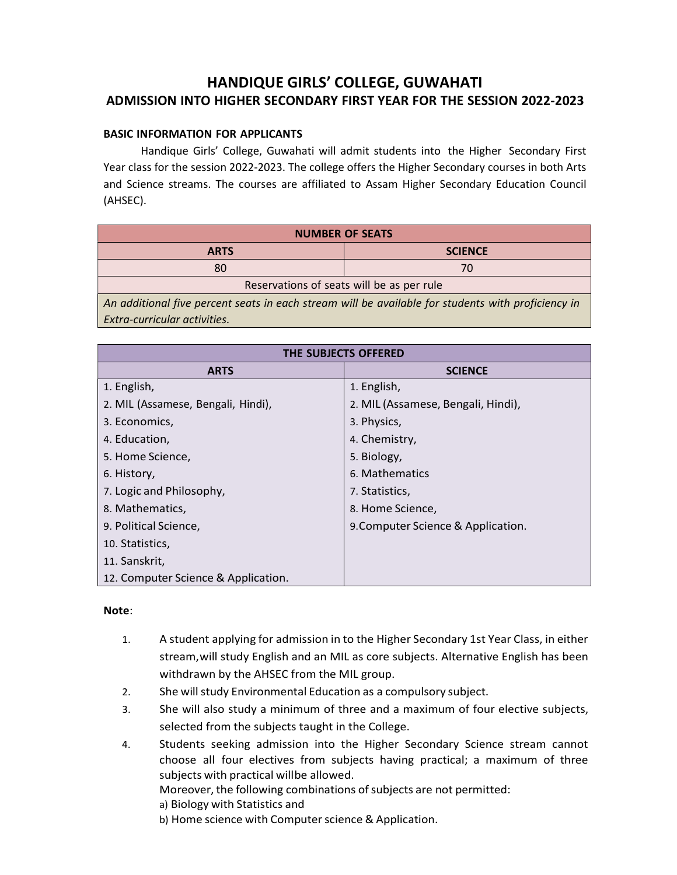# HANDIQUE GIRLS' COLLEGE, GUWAHATI ADMISSION INTO HIGHER SECONDARY FIRST YEAR FOR THE SESSION 2022-2023

### BASIC INFORMATION FOR APPLICANTS

Handique Girls' College, Guwahati will admit students into the Higher Secondary First Year class for the session 2022-2023. The college offers the Higher Secondary courses in both Arts and Science streams. The courses are affiliated to Assam Higher Secondary Education Council (AHSEC).

| <b>NUMBER OF SEATS</b>                                                                               |                |  |
|------------------------------------------------------------------------------------------------------|----------------|--|
| <b>ARTS</b>                                                                                          | <b>SCIENCE</b> |  |
| 80                                                                                                   | 70             |  |
| Reservations of seats will be as per rule                                                            |                |  |
| An additional five percent seats in each stream will be available for students with proficiency in A |                |  |

Extra-curricular activities.

| THE SUBJECTS OFFERED                |                                    |
|-------------------------------------|------------------------------------|
| <b>ARTS</b>                         | <b>SCIENCE</b>                     |
| 1. English,                         | 1. English,                        |
| 2. MIL (Assamese, Bengali, Hindi),  | 2. MIL (Assamese, Bengali, Hindi), |
| 3. Economics,                       | 3. Physics,                        |
| 4. Education,                       | 4. Chemistry,                      |
| 5. Home Science,                    | 5. Biology,                        |
| 6. History,                         | 6. Mathematics                     |
| 7. Logic and Philosophy,            | 7. Statistics,                     |
| 8. Mathematics,                     | 8. Home Science,                   |
| 9. Political Science,               | 9. Computer Science & Application. |
| 10. Statistics,                     |                                    |
| 11. Sanskrit,                       |                                    |
| 12. Computer Science & Application. |                                    |

#### Note:

- 1. A student applying for admission in to the Higher Secondary 1st Year Class, in either stream, will study English and an MIL as core subjects. Alternative English has been withdrawn by the AHSEC from the MIL group.
- 2. She will study Environmental Education as a compulsory subject.
- 3. She will also study a minimum of three and a maximum of four elective subjects, selected from the subjects taught in the College.
- 4. Students seeking admission into the Higher Secondary Science stream cannot choose all four electives from subjects having practical; a maximum of three subjects with practical will be allowed.

Moreover, the following combinations of subjects are not permitted:

- a) Biology with Statistics and
- b) Home science with Computer science & Application.